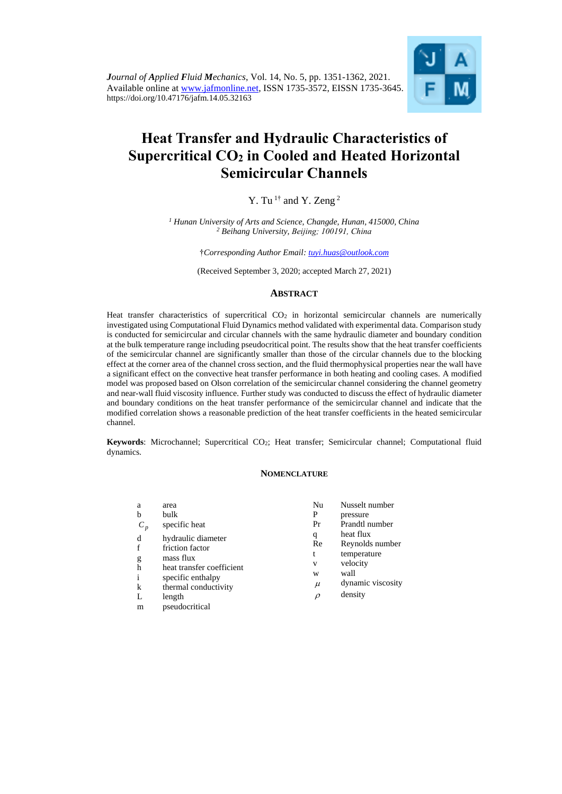

# **Heat Transfer and Hydraulic Characteristics of Supercritical CO<sup>2</sup> in Cooled and Heated Horizontal Semicircular Channels**

Y. Tu<sup>1†</sup> and Y. Zeng<sup>2</sup>

*<sup>1</sup> Hunan University of Arts and Science, Changde, Hunan, 415000, China <sup>2</sup> Beihang University, Beijing; 100191, China*

†*Corresponding Author Email: [tuyi.huas@outlook.com](mailto:tuyi.huas@outlook.com)*

(Received September 3, 2020; accepted March 27, 2021)

## **ABSTRACT**

Heat transfer characteristics of supercritical CO<sub>2</sub> in horizontal semicircular channels are numerically investigated using Computational Fluid Dynamics method validated with experimental data. Comparison study is conducted for semicircular and circular channels with the same hydraulic diameter and boundary condition at the bulk temperature range including pseudocritical point. The results show that the heat transfer coefficients of the semicircular channel are significantly smaller than those of the circular channels due to the blocking effect at the corner area of the channel cross section, and the fluid thermophysical properties near the wall have a significant effect on the convective heat transfer performance in both heating and cooling cases. A modified model was proposed based on Olson correlation of the semicircular channel considering the channel geometry and near-wall fluid viscosity influence. Further study was conducted to discuss the effect of hydraulic diameter and boundary conditions on the heat transfer performance of the semicircular channel and indicate that the modified correlation shows a reasonable prediction of the heat transfer coefficients in the heated semicircular channel.

**Keywords**: Microchannel; Supercritical CO<sub>2</sub>; Heat transfer; Semicircular channel; Computational fluid dynamics.

#### **NOMENCLATURE**

| a                | area                                                                                                                         | Nu                                                                                                   | Nusselt number  |
|------------------|------------------------------------------------------------------------------------------------------------------------------|------------------------------------------------------------------------------------------------------|-----------------|
| b                | bulk                                                                                                                         | P                                                                                                    | pressure        |
| $C_p$            | specific heat                                                                                                                | Pr                                                                                                   | Prandtl number  |
| d<br>f<br>g<br>h | hydraulic diameter<br>friction factor<br>mass flux<br>heat transfer coefficient<br>specific enthalpy<br>thermal conductivity | heat flux<br>q<br>Re<br>temperature<br>t<br>velocity<br>V<br>wall<br>W<br>dynamic viscosity<br>$\mu$ | Reynolds number |
| i<br>k           |                                                                                                                              |                                                                                                      |                 |
| L                | length                                                                                                                       | $\rho$                                                                                               | density         |
| m                | pseudocritical                                                                                                               |                                                                                                      |                 |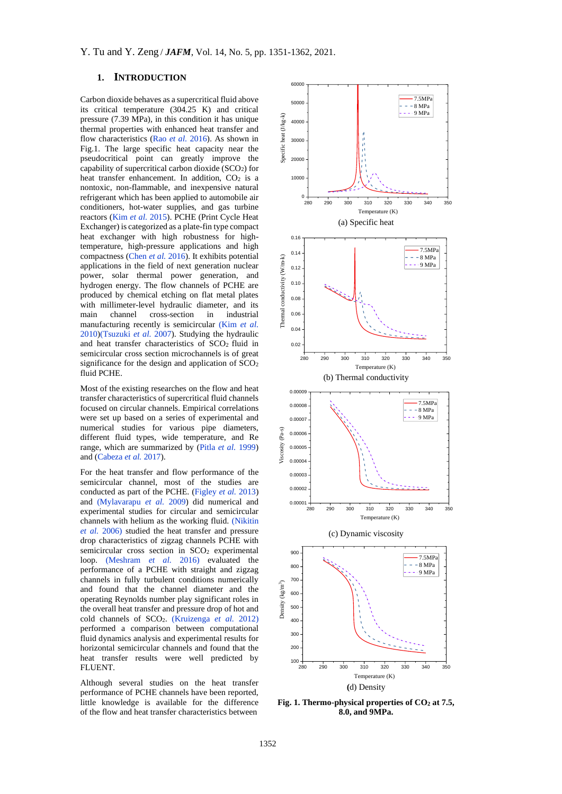# **1. INTRODUCTION**

Carbon dioxide behaves as a supercritical fluid above its critical temperature (304.25 K) and critical pressure (7.39 MPa), in this condition it has unique thermal properties with enhanced heat transfer and flow characteristics (Rao *et al.* [2016\)](#page-11-0). As shown in Fig.1. The large specific heat capacity near the pseudocritical point can greatly improve the capability of supercritical carbon dioxide (SCO2) for heat transfer enhancement. In addition,  $CO<sub>2</sub>$  is a nontoxic, non-flammable, and inexpensive natural refrigerant which has been applied to automobile air conditioners, hot-water supplies, and gas turbine reactors [\(Kim](#page-10-0) *et al.* 2015). PCHE (Print Cycle Heat Exchanger) is categorized as a plate-fin type compact heat exchanger with high robustness for hightemperature, high-pressure applications and high compactness [\(Chen](#page-10-1) *et al.* 2016). It exhibits potential applications in the field of next generation nuclear power, solar thermal power generation, and hydrogen energy. The flow channels of PCHE are produced by chemical etching on flat metal plates with millimeter-level hydraulic diameter, and its main channel cross-section in industrial manufacturing recently is semicircular [\(Kim](#page-10-0) *et al.* [2010\)](#page-10-0)[\(Tsuzuki](#page-11-1) *et al.* 2007). Studying the hydraulic and heat transfer characteristics of SCO2 fluid in semicircular cross section microchannels is of great significance for the design and application of SCO<sub>2</sub> fluid PCHE.

Most of the existing researches on the flow and heat transfer characteristics of supercritical fluid channels focused on circular channels. Empirical correlations were set up based on a series of experimental and numerical studies for various pipe diameters, different fluid types, wide temperature, and Re range, which are summarized by [\(Pitla](#page-11-2) *et al.* 1999) and [\(Cabeza](#page-10-2) *et al.* 2017).

For the heat transfer and flow performance of the semicircular channel, most of the studies are conducted as part of the PCHE. [\(Figley](#page-10-3) *et al.* 2013) and [\(Mylavarapu](#page-10-4) *et al.* 2009) did numerical and experimental studies for circular and semicircular channels with helium as the working fluid. [\(Nikitin](#page-10-5)  *et al.* [2006\)](#page-10-5) studied the heat transfer and pressure drop characteristics of zigzag channels PCHE with semicircular cross section in SCO<sub>2</sub> experimental loop. [\(Meshram](#page-10-6) *et al.* 2016) evaluated the performance of a PCHE with straight and zigzag channels in fully turbulent conditions numerically and found that the channel diameter and the operating Reynolds number play significant roles in the overall heat transfer and pressure drop of hot and cold channels of SCO2. [\(Kruizenga](#page-10-7) *et al.* 2012) performed a comparison between computational fluid dynamics analysis and experimental results for horizontal semicircular channels and found that the heat transfer results were well predicted by FLUENT.

Although several studies on the heat transfer performance of PCHE channels have been reported, little knowledge is available for the difference of the flow and heat transfer characteristics between



**Fig. 1. Thermo-physical properties of CO<sup>2</sup> at 7.5, 8.0, and 9MPa.**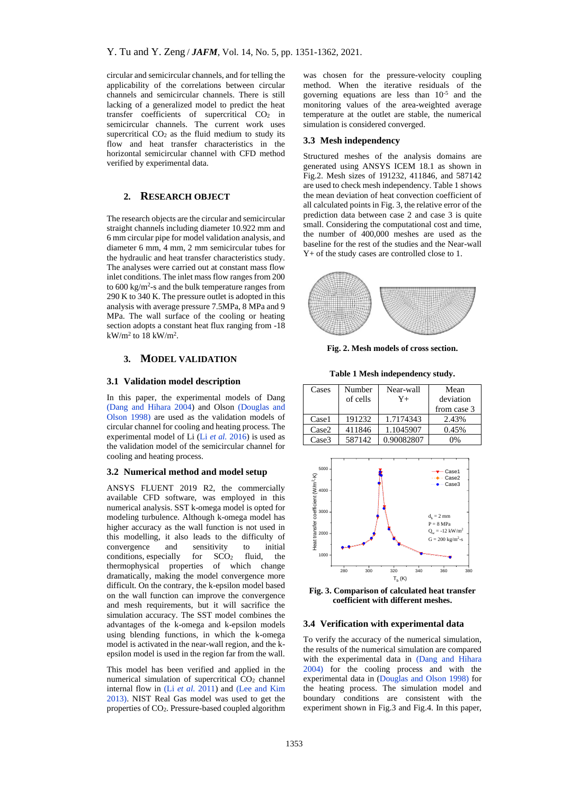circular and semicircular channels, and for telling the applicability of the correlations between circular channels and semicircular channels. There is still lacking of a generalized model to predict the heat transfer coefficients of supercritical CO<sup>2</sup> in semicircular channels. The current work uses supercritical  $CO<sub>2</sub>$  as the fluid medium to study its flow and heat transfer characteristics in the horizontal semicircular channel with CFD method verified by experimental data.

## **2. RESEARCH OBJECT**

The research objects are the circular and semicircular straight channels including diameter 10.922 mm and 6 mm circular pipe for model validation analysis, and diameter 6 mm, 4 mm, 2 mm semicircular tubes for the hydraulic and heat transfer characteristics study. The analyses were carried out at constant mass flow inlet conditions. The inlet mass flow ranges from 200 to  $600 \text{ kg/m}^2$ -s and the bulk temperature ranges from 290 K to 340 K. The pressure outlet is adopted in this analysis with average pressure 7.5MPa, 8 MPa and 9 MPa. The wall surface of the cooling or heating section adopts a constant heat flux ranging from -18  $kW/m^2$  to 18 kW/m<sup>2</sup>.

# **3. MODEL VALIDATION**

#### **3.1 Validation model description**

In this paper, the experimental models of Dang [\(Dang and](#page-10-8) Hihara 2004) and Olson [\(Douglas and](#page-10-9)  [Olson](#page-10-9) 1998) are used as the validation models of circular channel for cooling and heating process. The experimental model of Li (Li *et al.* [2016\)](#page-10-10) is used as the validation model of the semicircular channel for cooling and heating process.

#### **3.2 Numerical method and model setup**

ANSYS FLUENT 2019 R2, the commercially available CFD software, was employed in this numerical analysis. SST k-omega model is opted for modeling turbulence. Although k-omega model has higher accuracy as the wall function is not used in this modelling, it also leads to the difficulty of convergence and sensitivity to initial conditions, especially for  $SCO<sub>2</sub>$  fluid, the thermophysical properties of which change dramatically, making the model convergence more difficult. On the contrary, the k-epsilon model based on the wall function can improve the convergence and mesh requirements, but it will sacrifice the simulation accuracy. The SST model combines the advantages of the k-omega and k-epsilon models using blending functions, in which the k-omega model is activated in the near-wall region, and the kepsilon model is used in the region far from the wall.

This model has been verified and applied in the numerical simulation of supercritical  $CO<sub>2</sub>$  channel internal flow in (Li *et al.* [2011\)](#page-10-10) and [\(Lee and](#page-10-11) Kim [2013\)](#page-10-11). NIST Real Gas model was used to get the properties of CO2. Pressure-based coupled algorithm was chosen for the pressure-velocity coupling method. When the iterative residuals of the governing equations are less than 10-5 and the monitoring values of the area-weighted average temperature at the outlet are stable, the numerical simulation is considered converged.

## **3.3 Mesh independency**

Structured meshes of the analysis domains are generated using ANSYS ICEM 18.1 as shown in Fig.2. Mesh sizes of 191232, 411846, and 587142 are used to check mesh independency. Table 1 shows the mean deviation of heat convection coefficient of all calculated points in Fig. 3, the relative error of the prediction data between case 2 and case 3 is quite small. Considering the computational cost and time, the number of 400,000 meshes are used as the baseline for the rest of the studies and the Near-wall Y+ of the study cases are controlled close to 1.



**Fig. 2. Mesh models of cross section.**

**Table 1 Mesh independency study.**

| Cases             | Number<br>of cells | Near-wall<br>Y+ | Mean<br>deviation<br>from case 3 |
|-------------------|--------------------|-----------------|----------------------------------|
| Case1             | 191232             | 1.7174343       | 2.43%                            |
| Case <sub>2</sub> | 411846             | 1.1045907       | 0.45%                            |
| Case <sub>3</sub> | 587142             | 0.90082807      | $0\%$                            |



**Fig. 3. Comparison of calculated heat transfer coefficient with different meshes.**

#### **3.4 Verification with experimental data**

To verify the accuracy of the numerical simulation, the results of the numerical simulation are compared with the experimental data in [\(Dang and](#page-10-8) Hihara [2004\)](#page-10-8) for the cooling process and with the experimental data in [\(Douglas and Olson](#page-10-9) 1998) for the heating process. The simulation model and boundary conditions are consistent with the experiment shown in Fig.3 and Fig.4. In this paper,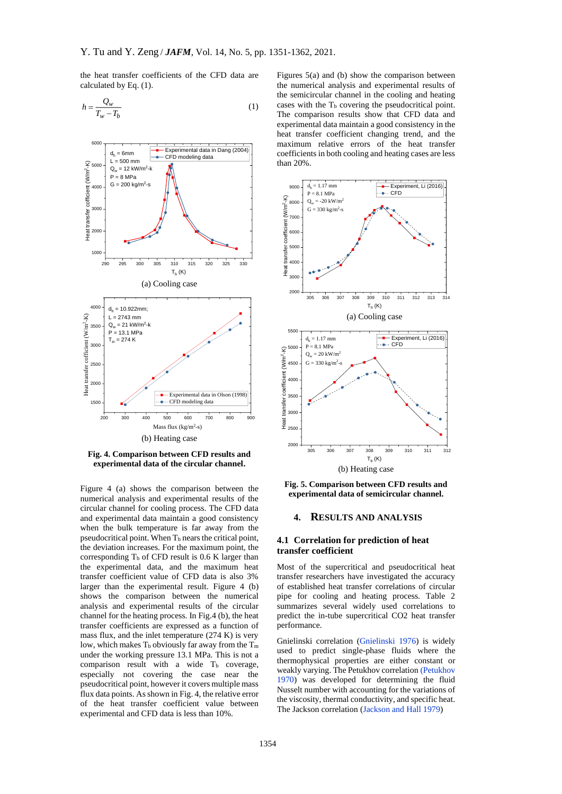the heat transfer coefficients of the CFD data are calculated by Eq. (1).

$$
h = \frac{Q_w}{T_w - T_b} \tag{1}
$$



**Fig. 4. Comparison between CFD results and experimental data of the circular channel.**

Figure 4 (a) shows the comparison between the numerical analysis and experimental results of the circular channel for cooling process. The CFD data and experimental data maintain a good consistency when the bulk temperature is far away from the pseudocritical point. When  $T_b$  nears the critical point, the deviation increases. For the maximum point, the corresponding  $T<sub>b</sub>$  of CFD result is 0.6 K larger than the experimental data, and the maximum heat transfer coefficient value of CFD data is also 3% larger than the experimental result. Figure 4 (b) shows the comparison between the numerical analysis and experimental results of the circular channel for the heating process. In Fig.4 (b), the heat transfer coefficients are expressed as a function of mass flux, and the inlet temperature (274 K) is very low, which makes  $T_b$  obviously far away from the  $T_m$ under the working pressure 13.1 MPa. This is not a comparison result with a wide  $T<sub>b</sub>$  coverage, especially not covering the case near the pseudocritical point, however it covers multiple mass flux data points. As shown in Fig. 4, the relative error of the heat transfer coefficient value between experimental and CFD data is less than 10%.

Figures 5(a) and (b) show the comparison between the numerical analysis and experimental results of the semicircular channel in the cooling and heating cases with the  $T<sub>b</sub>$  covering the pseudocritical point. The comparison results show that CFD data and experimental data maintain a good consistency in the heat transfer coefficient changing trend, and the maximum relative errors of the heat transfer coefficients in both cooling and heating cases are less than 20%.



**Fig. 5. Comparison between CFD results and experimental data of semicircular channel.**

#### **4. RESULTS AND ANALYSIS**

#### **4.1 Correlation for prediction of heat transfer coefficient**

Most of the supercritical and pseudocritical heat transfer researchers have investigated the accuracy of established heat transfer correlations of circular pipe for cooling and heating process. Table 2 summarizes several widely used correlations to predict the in-tube supercritical CO2 heat transfer performance.

Gnielinski correlation [\(Gnielinski](#page-10-12) 1976) is widely used to predict single-phase fluids where the thermophysical properties are either constant or weakly varying. The Petukhov correlation [\(Petukhov](#page-11-3) [1970\)](#page-11-3) was developed for determining the fluid Nusselt number with accounting for the variations of the viscosity, thermal conductivity, and specific heat. The Jackson correlation [\(Jackson and](#page-10-13) Hall 1979)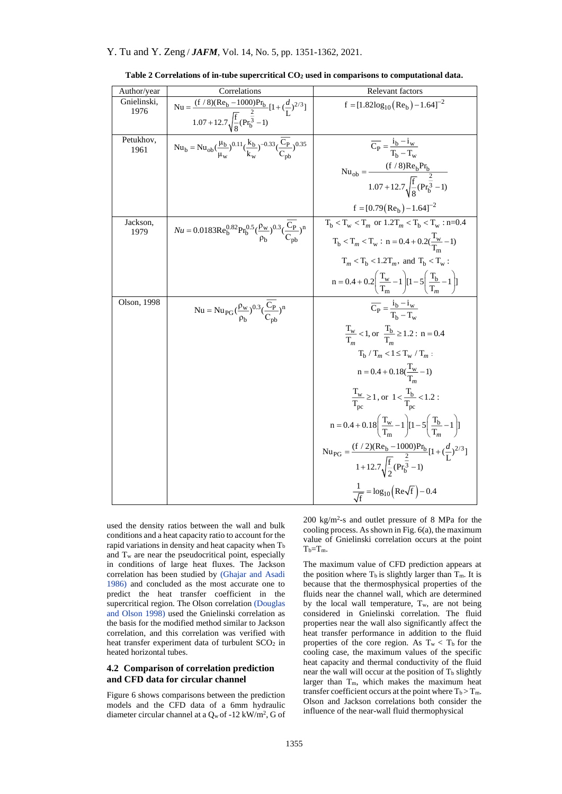| Author/year         | Correlations                                                                                                            | Relevant factors                                                                                                    |
|---------------------|-------------------------------------------------------------------------------------------------------------------------|---------------------------------------------------------------------------------------------------------------------|
| Gnielinski,<br>1976 | Nu = $\frac{(f/8)(Re_b - 1000)Pr_b}{\sqrt{2}} [1 + (\frac{d}{L})^{2/3}]$                                                | $f = [1.82 \log_{10}(Re_b) - 1.64]^{-2}$                                                                            |
|                     | $1.07 + 12.7\sqrt{\frac{f}{g}}(Pr_{b}^{\frac{2}{3}} - 1)$                                                               |                                                                                                                     |
| Petukhov,<br>1961   | $Nu_b = Nu_{ob}(\frac{\mu_b}{\mu_w})^{0.11}(\frac{k_b}{k_w})^{-0.33}(\frac{C_p}{C_{nb}})^{0.35}$                        | $\overline{C_P} = \frac{i_b - i_w}{T_c - T}$                                                                        |
|                     |                                                                                                                         |                                                                                                                     |
|                     |                                                                                                                         | Nu <sub>ob</sub> = $\frac{(f / 8)Re_b Pr_b}{1.07 + 12.7 \sqrt{\frac{f}{8}} (Pr_b^3 - 1)}$                           |
|                     |                                                                                                                         | $f = [0.79(Reb) - 1.64]^{-2}$                                                                                       |
| Jackson,<br>1979    | $Nu = 0.0183 \text{Re}_b^{0.82} \text{Pr}_b^{0.5} (\frac{\rho_w}{\rho_b})^{0.3} (\frac{\text{C}_{P}}{\text{C}_{pb}})^n$ | $T_b < T_w < T_m$ or $1.2T_m < T_b < T_w$ : n=0.4                                                                   |
|                     |                                                                                                                         | $T_b < T_m < T_w$ : $n = 0.4 + 0.2(\frac{1_w}{T} - 1)$                                                              |
|                     |                                                                                                                         | $T_m < T_b < 1.2T_m$ , and $T_b < T_w$ :                                                                            |
|                     |                                                                                                                         | $n = 0.4 + 0.2 \left( \frac{T_w}{T_m} - 1 \right) [1 - 5 \left( \frac{T_b}{T_m} - 1 \right)]$                       |
| Olson, 1998         | Nu = Nu <sub>PG</sub> $(\frac{\rho_w}{\rho_h})^{0.3}(\frac{C_P}{C_{nh}})^n$                                             | $\overline{C_P} = \frac{i_b - i_w}{T_b - T_w}$                                                                      |
|                     |                                                                                                                         | $\frac{T_w}{T_w}$ < 1, or $\frac{T_b}{T} \ge 1.2$ : n = 0.4                                                         |
|                     |                                                                                                                         | $T_h / T_m < l \le T_w / T_m$ :                                                                                     |
|                     |                                                                                                                         | $n = 0.4 + 0.18(\frac{1_{\rm w}}{T} - 1)$                                                                           |
|                     |                                                                                                                         | $\frac{T_w}{T_{\text{nc}}} \ge 1$ , or $1 < \frac{T_b}{T_{\text{nc}}} < 1.2$ :                                      |
|                     |                                                                                                                         | $n = 0.4 + 0.18 \left( \frac{T_w}{T} - 1 \right) [1 - 5 \left( \frac{T_b}{T} - 1 \right)]$                          |
|                     |                                                                                                                         | Nu <sub>PG</sub> = $\frac{(f/2)(Re_b - 1000)Pr_b}{1 + 12.7\sqrt{\frac{f}{2}}(Pr_b^3 - 1)}[1 + (\frac{d}{L})^{2/3}]$ |
|                     |                                                                                                                         |                                                                                                                     |
|                     |                                                                                                                         | $\frac{1}{\sqrt{f}} = \log_{10}\left(\text{Re}\sqrt{f}\right) - 0.4$                                                |

**Table 2 Correlations of in-tube supercritical CO<sup>2</sup> used in comparisons to computational data.**

used the density ratios between the wall and bulk conditions and a heat capacity ratio to account for the rapid variations in density and heat capacity when  $T<sub>b</sub>$ and  $T_w$  are near the pseudocritical point, especially in conditions of large heat fluxes. The Jackson correlation has been studied by [\(Ghajar and](#page-10-14) Asadi [1986\)](#page-10-14) and concluded as the most accurate one to predict the heat transfer coefficient in the supercritical region. The Olson correlation (Douglas [and Olson](#page-10-9) 1998) used the Gnielinski correlation as the basis for the modified method similar to Jackson correlation, and this correlation was verified with heat transfer experiment data of turbulent SCO<sub>2</sub> in heated horizontal tubes.

## **4.2 Comparison of correlation prediction and CFD data for circular channel**

Figure 6 shows comparisons between the prediction models and the CFD data of a 6mm hydraulic diameter circular channel at a  $Q_w$  of -12 kW/m<sup>2</sup>, G of 200 kg/m<sup>2</sup> -s and outlet pressure of 8 MPa for the cooling process. As shown in Fig.  $6(a)$ , the maximum value of Gnielinski correlation occurs at the point  $T_b = T_m$ .

The maximum value of CFD prediction appears at the position where  $T_b$  is slightly larger than  $T_m$ . It is because that the thermosphysical properties of the fluids near the channel wall, which are determined by the local wall temperature,  $T_w$ , are not being considered in Gnielinski correlation. The fluid properties near the wall also significantly affect the heat transfer performance in addition to the fluid properties of the core region. As  $T_w < T_b$  for the cooling case, the maximum values of the specific heat capacity and thermal conductivity of the fluid near the wall will occur at the position of  $T_b$  slightly larger than  $T_m$ , which makes the maximum heat transfer coefficient occurs at the point where  $T_b > T_m$ . Olson and Jackson correlations both consider the influence of the near-wall fluid thermophysical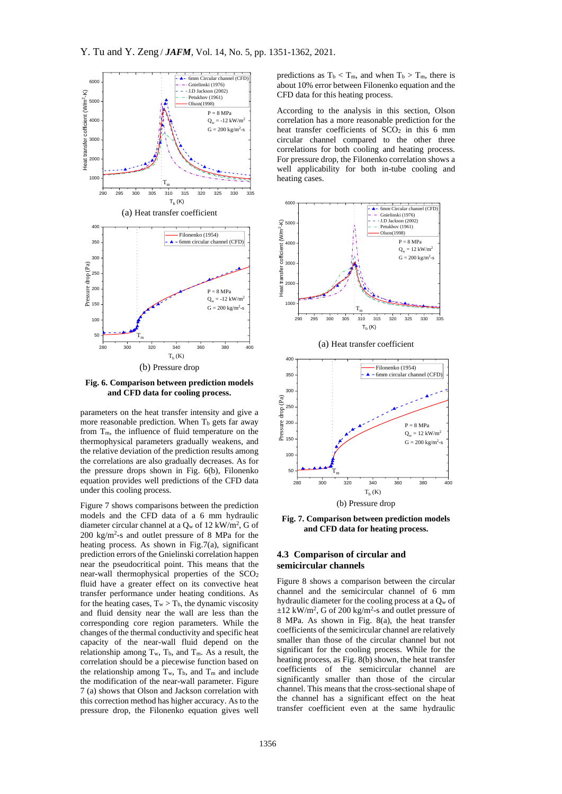

**Fig. 6. Comparison between prediction models and CFD data for cooling process.**

parameters on the heat transfer intensity and give a more reasonable prediction. When  $T_b$  gets far away from Tm, the influence of fluid temperature on the thermophysical parameters gradually weakens, and the relative deviation of the prediction results among the correlations are also gradually decreases. As for the pressure drops shown in Fig. 6(b), Filonenko equation provides well predictions of the CFD data under this cooling process.

Figure 7 shows comparisons between the prediction models and the CFD data of a 6 mm hydraulic diameter circular channel at a  $Q_w$  of 12 kW/m<sup>2</sup>, G of 200 kg/m<sup>2</sup> -s and outlet pressure of 8 MPa for the heating process. As shown in Fig.7(a), significant prediction errors of the Gnielinski correlation happen near the pseudocritical point. This means that the near-wall thermophysical properties of the SCO<sub>2</sub> fluid have a greater effect on its convective heat transfer performance under heating conditions. As for the heating cases,  $T_w > T_b$ , the dynamic viscosity and fluid density near the wall are less than the corresponding core region parameters. While the changes of the thermal conductivity and specific heat capacity of the near-wall fluid depend on the relationship among  $T_w$ ,  $T_b$ , and  $T_m$ . As a result, the correlation should be a piecewise function based on the relationship among  $T_w$ ,  $T_b$ , and  $T_m$  and include the modification of the near-wall parameter. Figure 7 (a) shows that Olson and Jackson correlation with this correction method has higher accuracy. As to the pressure drop, the Filonenko equation gives well

predictions as  $T_b < T_m$ , and when  $T_b > T_m$ , there is about 10% error between Filonenko equation and the CFD data for this heating process.

According to the analysis in this section, Olson correlation has a more reasonable prediction for the heat transfer coefficients of  $SCO<sub>2</sub>$  in this 6 mm circular channel compared to the other three correlations for both cooling and heating process. For pressure drop, the Filonenko correlation shows a well applicability for both in-tube cooling and heating cases.



(a) Heat transfer coefficient



**Fig. 7. Comparison between prediction models and CFD data for heating process.**

## **4.3 Comparison of circular and semicircular channels**

Figure 8 shows a comparison between the circular channel and the semicircular channel of 6 mm hydraulic diameter for the cooling process at a  $Q_w$  of  $\pm 12$  kW/m<sup>2</sup>, G of 200 kg/m<sup>2</sup>-s and outlet pressure of 8 MPa. As shown in Fig. 8(a), the heat transfer coefficients of the semicircular channel are relatively smaller than those of the circular channel but not significant for the cooling process. While for the heating process, as Fig. 8(b) shown, the heat transfer coefficients of the semicircular channel are significantly smaller than those of the circular channel. This means that the cross-sectional shape of the channel has a significant effect on the heat transfer coefficient even at the same hydraulic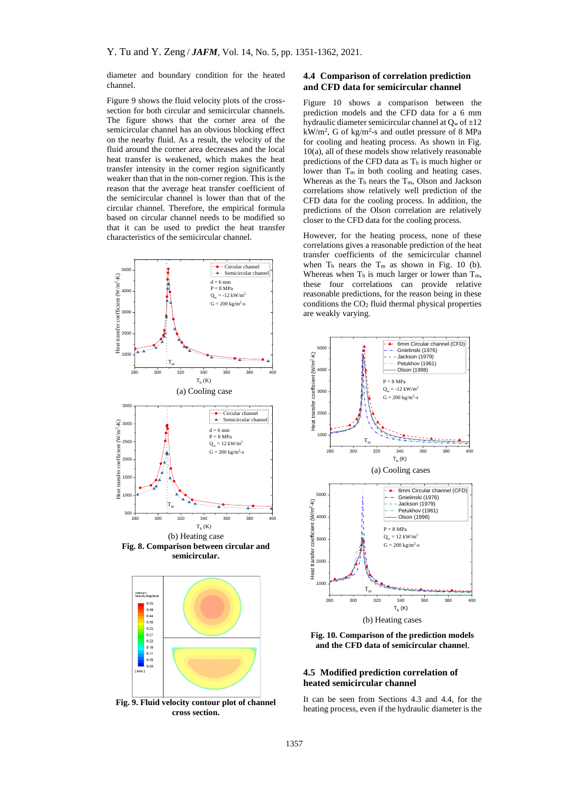diameter and boundary condition for the heated channel.

Figure 9 shows the fluid velocity plots of the crosssection for both circular and semicircular channels. The figure shows that the corner area of the semicircular channel has an obvious blocking effect on the nearby fluid. As a result, the velocity of the fluid around the corner area decreases and the local heat transfer is weakened, which makes the heat transfer intensity in the corner region significantly weaker than that in the non-corner region. This is the reason that the average heat transfer coefficient of the semicircular channel is lower than that of the circular channel. Therefore, the empirical formula based on circular channel needs to be modified so that it can be used to predict the heat transfer characteristics of the semicircular channel.



**Fig. 8. Comparison between circular and semicircular.**



**Fig. 9. Fluid velocity contour plot of channel cross section.**

## **4.4 Comparison of correlation prediction and CFD data for semicircular channel**

Figure 10 shows a comparison between the prediction models and the CFD data for a 6 mm hydraulic diameter semicircular channel at  $O_w$  of  $\pm 12$  $kW/m^2$ , G of kg/m<sup>2</sup>-s and outlet pressure of 8 MPa for cooling and heating process. As shown in Fig. 10(a), all of these models show relatively reasonable predictions of the CFD data as  $T<sub>b</sub>$  is much higher or lower than  $T_m$  in both cooling and heating cases. Whereas as the  $T_b$  nears the  $T_m$ , Olson and Jackson correlations show relatively well prediction of the CFD data for the cooling process. In addition, the predictions of the Olson correlation are relatively closer to the CFD data for the cooling process.

However, for the heating process, none of these correlations gives a reasonable prediction of the heat transfer coefficients of the semicircular channel when  $T_b$  nears the  $T_m$  as shown in Fig. 10 (b). Whereas when  $T_b$  is much larger or lower than  $T_m$ , these four correlations can provide relative reasonable predictions, for the reason being in these conditions the CO<sup>2</sup> fluid thermal physical properties are weakly varying.



**Fig. 10. Comparison of the prediction models and the CFD data of semicircular channel.**

### **4.5 Modified prediction correlation of heated semicircular channel**

It can be seen from Sections 4.3 and 4.4, for the heating process, even if the hydraulic diameter is the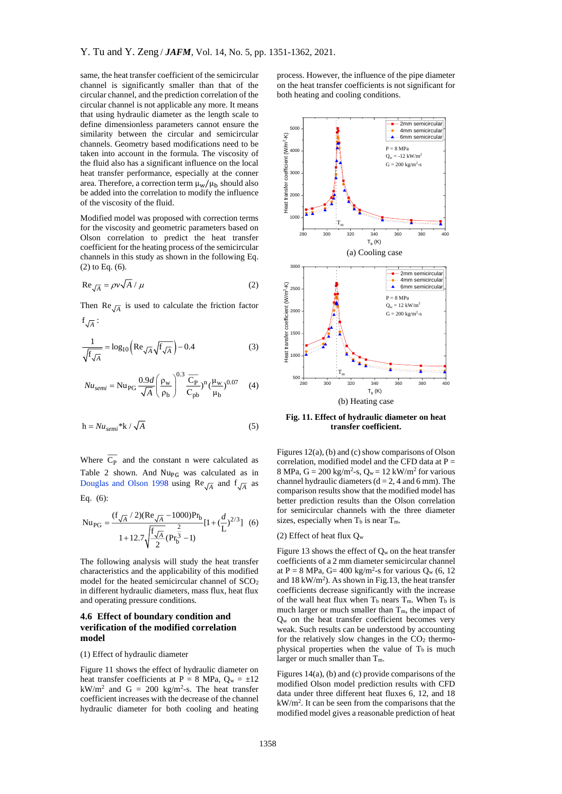same, the heat transfer coefficient of the semicircular channel is significantly smaller than that of the circular channel, and the prediction correlation of the circular channel is not applicable any more. It means that using hydraulic diameter as the length scale to define dimensionless parameters cannot ensure the similarity between the circular and semicircular channels. Geometry based modifications need to be taken into account in the formula. The viscosity of the fluid also has a significant influence on the local heat transfer performance, especially at the conner area. Therefore, a correction term  $\mu_w/\mu_b$  should also be added into the correlation to modify the influence of the viscosity of the fluid.

Modified model was proposed with correction terms for the viscosity and geometric parameters based on Olson correlation to predict the heat transfer coefficient for the heating process of the semicircular channels in this study as shown in the following Eq. (2) to Eq. (6).

$$
\text{Re}\frac{1}{\sqrt{A}} = \rho v \sqrt{A} / \mu \tag{2}
$$

Then  $\text{Re}\sqrt{A}$  is used to calculate the friction factor

$$
f_{\sqrt{A}}:
$$
  

$$
\frac{1}{\sqrt{f_{\sqrt{A}}}} = \log_{10} \left( \text{Re}_{\sqrt{A}} \sqrt{f_{\sqrt{A}}} \right) - 0.4
$$
 (3)

$$
Nu_{semi} = Nu_{PG} \frac{0.9d}{\sqrt{A}} \left(\frac{\rho_w}{\rho_b}\right)^{0.3} \frac{\overline{C_P}}{C_{pb}})^n \left(\frac{\mu_w}{\mu_b}\right)^{0.07} \tag{4}
$$

$$
h = Nu_{semi} * k / \sqrt{A}
$$
 (5)

Where  $C_{P}$  and the constant n were calculated as Table 2 shown. And  $Nu_{PG}$  was calculated as in [Douglas and Olson](#page-10-9) 1998 using  $\text{Re}\sqrt{A}$  and  $f\sqrt{A}$  as Eq. (6):

$$
Nu_{PG} = \frac{(f_{\sqrt{A}}/2)(Re_{\sqrt{A}} - 1000)Pr_{b}}{1 + 12.7\sqrt{\frac{f_{\sqrt{A}}}{2}}(Pr_{b}^{\frac{2}{3}} - 1)}[1 + (\frac{d}{L})^{2/3}] (6)
$$

The following analysis will study the heat transfer characteristics and the applicability of this modified model for the heated semicircular channel of SCO<sup>2</sup> in different hydraulic diameters, mass flux, heat flux and operating pressure conditions.

## **4.6 Effect of boundary condition and verification of the modified correlation model**

(1) Effect of hydraulic diameter

Figure 11 shows the effect of hydraulic diameter on heat transfer coefficients at P = 8 MPa,  $Q_w = \pm 12$  $kW/m^2$  and G = 200 kg/m<sup>2</sup>-s. The heat transfer coefficient increases with the decrease of the channel hydraulic diameter for both cooling and heating

process. However, the influence of the pipe diameter on the heat transfer coefficients is not significant for both heating and cooling conditions.



**Fig. 11. Effect of hydraulic diameter on heat transfer coefficient.**

Figures 12(a), (b) and (c) show comparisons of Olson correlation, modified model and the CFD data at  $P =$ 8 MPa,  $G = 200 \text{ kg/m}^2$ -s,  $Q_w = 12 \text{ kW/m}^2$  for various channel hydraulic diameters  $(d = 2, 4$  and 6 mm). The comparison results show that the modified model has better prediction results than the Olson correlation for semicircular channels with the three diameter sizes, especially when  $T_b$  is near  $T_m$ .

#### (2) Effect of heat flux  $Q_w$

Figure 13 shows the effect of  $Q_w$  on the heat transfer coefficients of a 2 mm diameter semicircular channel at P = 8 MPa, G = 400 kg/m<sup>2</sup>-s for various  $Q_w$  (6, 12 and 18 kW/m<sup>2</sup> ). As shown in Fig.13, the heat transfer coefficients decrease significantly with the increase of the wall heat flux when  $T_b$  nears  $T_m$ . When  $T_b$  is much larger or much smaller than  $T_m$ , the impact of  $Q_w$  on the heat transfer coefficient becomes very weak. Such results can be understood by accounting for the relatively slow changes in the  $CO<sub>2</sub>$  thermophysical properties when the value of  $T<sub>b</sub>$  is much larger or much smaller than Tm.

Figures 14(a), (b) and (c) provide comparisons of the modified Olson model prediction results with CFD data under three different heat fluxes 6, 12, and 18 kW/m<sup>2</sup> . It can be seen from the comparisons that the modified model gives a reasonable prediction of heat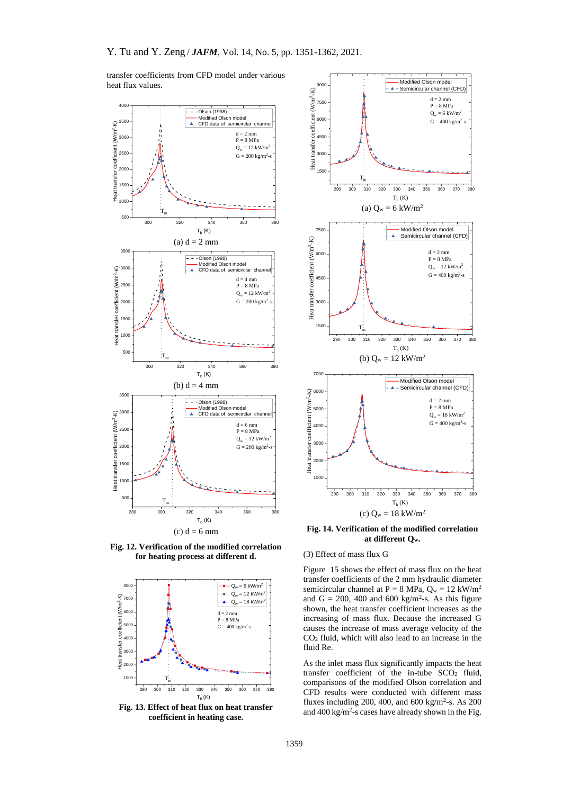transfer coefficients from CFD model under various heat flux values.



**Fig. 12. Verification of the modified correlation for heating process at different d.**



**Fig. 13. Effect of heat flux on heat transfer coefficient in heating case.**



**Fig. 14. Verification of the modified correlation at different Qw.**

#### (3) Effect of mass flux G

Figure 15 shows the effect of mass flux on the heat transfer coefficients of the 2 mm hydraulic diameter semicircular channel at  $P = 8 \text{ MPa}$ ,  $Q_w = 12 \text{ kW/m}^2$ and  $G = 200$ , 400 and 600 kg/m<sup>2</sup>-s. As this figure shown, the heat transfer coefficient increases as the increasing of mass flux. Because the increased G causes the increase of mass average velocity of the  $CO<sub>2</sub>$  fluid, which will also lead to an increase in the fluid Re.

As the inlet mass flux significantly impacts the heat transfer coefficient of the in-tube SCO<sub>2</sub> fluid, comparisons of the modified Olson correlation and CFD results were conducted with different mass fluxes including 200, 400, and 600 kg/m<sup>2</sup>-s. As 200 and  $400 \text{ kg/m}^2$ -s cases have already shown in the Fig.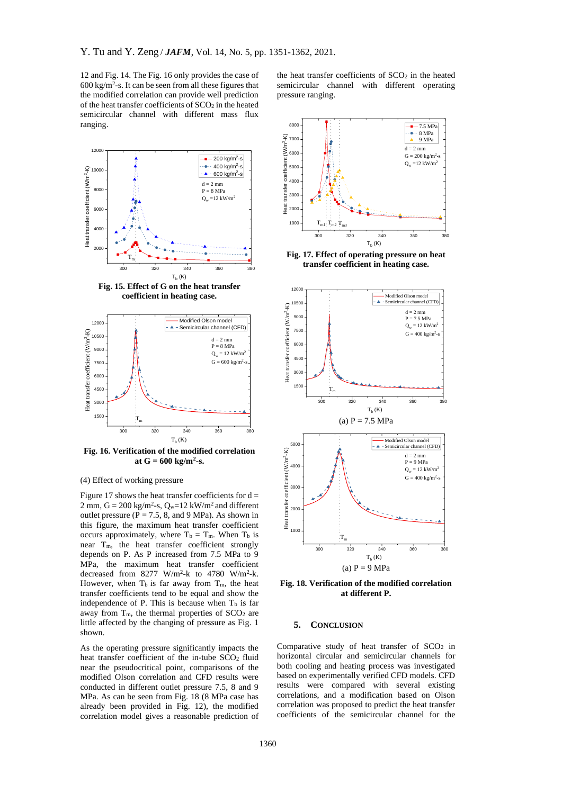12 and Fig. 14. The Fig. 16 only provides the case of  $600 \text{ kg/m}^2$ -s. It can be seen from all these figures that the modified correlation can provide well prediction of the heat transfer coefficients of  $SCO<sub>2</sub>$  in the heated semicircular channel with different mass flux ranging.



**Fig. 15. Effect of G on the heat transfer coefficient in heating case.**



**Fig. 16. Verification of the modified correlation** at  $G = 600 \text{ kg/m}^2\text{-s}.$ 

(4) Effect of working pressure

Figure 17 shows the heat transfer coefficients for  $d =$ 2 mm,  $G = 200 \text{ kg/m}^2$ -s,  $Q_w = 12 \text{ kW/m}^2$  and different outlet pressure ( $P = 7.5$ , 8, and 9 MPa). As shown in this figure, the maximum heat transfer coefficient occurs approximately, where  $T_b = T_m$ . When  $T_b$  is near Tm, the heat transfer coefficient strongly depends on P. As P increased from 7.5 MPa to 9 MPa, the maximum heat transfer coefficient decreased from  $8277$  W/m<sup>2</sup>-k to 4780 W/m<sup>2</sup>-k. However, when  $T_b$  is far away from  $T_m$ , the heat transfer coefficients tend to be equal and show the independence of P. This is because when  $T_b$  is far away from  $T_m$ , the thermal properties of  $SCO<sub>2</sub>$  are little affected by the changing of pressure as Fig. 1 shown.

As the operating pressure significantly impacts the heat transfer coefficient of the in-tube SCO<sub>2</sub> fluid near the pseudocritical point, comparisons of the modified Olson correlation and CFD results were conducted in different outlet pressure 7.5, 8 and 9 MPa. As can be seen from Fig. 18 (8 MPa case has already been provided in Fig. 12), the modified correlation model gives a reasonable prediction of the heat transfer coefficients of SCO<sub>2</sub> in the heated semicircular channel with different operating pressure ranging.



**Fig. 17. Effect of operating pressure on heat transfer coefficient in heating case.**



**Fig. 18. Verification of the modified correlation at different P.**

#### **5. CONCLUSION**

Comparative study of heat transfer of SCO<sub>2</sub> in horizontal circular and semicircular channels for both cooling and heating process was investigated based on experimentally verified CFD models. CFD results were compared with several existing correlations, and a modification based on Olson correlation was proposed to predict the heat transfer coefficients of the semicircular channel for the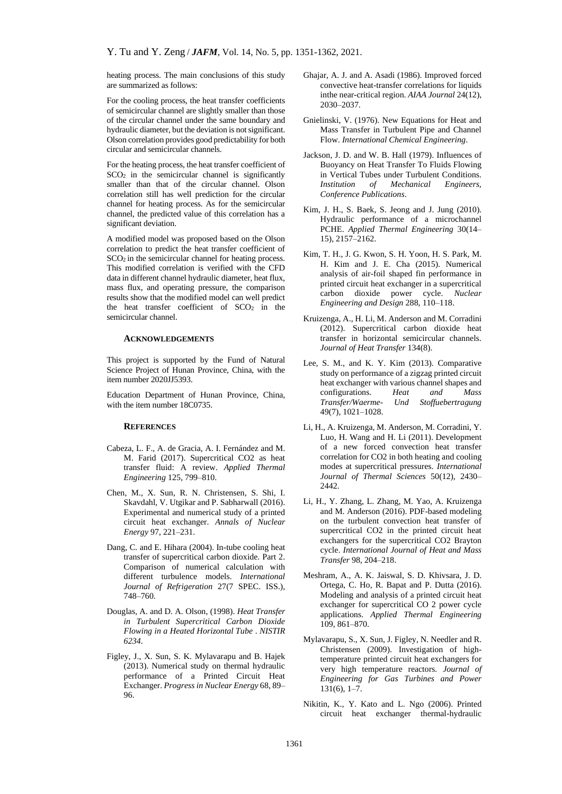heating process. The main conclusions of this study are summarized as follows:

For the cooling process, the heat transfer coefficients of semicircular channel are slightly smaller than those of the circular channel under the same boundary and hydraulic diameter, but the deviation is not significant. Olson correlation provides good predictability for both circular and semicircular channels.

For the heating process, the heat transfer coefficient of SCO<sup>2</sup> in the semicircular channel is significantly smaller than that of the circular channel. Olson correlation still has well prediction for the circular channel for heating process. As for the semicircular channel, the predicted value of this correlation has a significant deviation.

A modified model was proposed based on the Olson correlation to predict the heat transfer coefficient of SCO<sub>2</sub> in the semicircular channel for heating process. This modified correlation is verified with the CFD data in different channel hydraulic diameter, heat flux, mass flux, and operating pressure, the comparison results show that the modified model can well predict the heat transfer coefficient of  $SCO<sub>2</sub>$  in the semicircular channel.

#### **ACKNOWLEDGEMENTS**

This project is supported by the Fund of Natural Science Project of Hunan Province, China, with the item number 2020JJ5393.

Education Department of Hunan Province, China, with the item number 18C0735.

## **REFERENCES**

- <span id="page-10-2"></span>Cabeza, L. F., A. de Gracia, A. I. Fernández and M. M. Farid (2017). Supercritical CO2 as heat transfer fluid: A review. *Applied Thermal Engineering* 125, 799–810.
- <span id="page-10-1"></span>Chen, M., X. Sun, R. N. Christensen, S. Shi, I. Skavdahl, V. Utgikar and P. Sabharwall (2016). Experimental and numerical study of a printed circuit heat exchanger. *Annals of Nuclear Energy* 97, 221–231.
- <span id="page-10-8"></span>Dang, C. and E. Hihara (2004). In-tube cooling heat transfer of supercritical carbon dioxide. Part 2. Comparison of numerical calculation with different turbulence models. *International Journal of Refrigeration* 27(7 SPEC. ISS.), 748–760.
- <span id="page-10-9"></span>Douglas, A. and D. A. Olson, (1998). *Heat Transfer in Turbulent Supercritical Carbon Dioxide Flowing in a Heated Horizontal Tube* . *NISTIR 6234*.
- <span id="page-10-3"></span>Figley, J., X. Sun, S. K. Mylavarapu and B. Hajek (2013). Numerical study on thermal hydraulic performance of a Printed Circuit Heat Exchanger. *Progress in Nuclear Energy* 68, 89– 96.
- <span id="page-10-14"></span>Ghajar, A. J. and A. Asadi (1986). Improved forced convective heat-transfer correlations for liquids inthe near-critical region. *AIAA Journal* 24(12), 2030–2037.
- <span id="page-10-12"></span>Gnielinski, V. (1976). New Equations for Heat and Mass Transfer in Turbulent Pipe and Channel Flow. *International Chemical Engineering*.
- <span id="page-10-13"></span>Jackson, J. D. and W. B. Hall (1979). Influences of Buoyancy on Heat Transfer To Fluids Flowing in Vertical Tubes under Turbulent Conditions. *Institution of Mechanical Engineers, Conference Publications*.
- <span id="page-10-0"></span>Kim, J. H., S. Baek, S. Jeong and J. Jung (2010). Hydraulic performance of a microchannel PCHE. *Applied Thermal Engineering* 30(14– 15), 2157–2162.
- Kim, T. H., J. G. Kwon, S. H. Yoon, H. S. Park, M. H. Kim and J. E. Cha (2015). Numerical analysis of air-foil shaped fin performance in printed circuit heat exchanger in a supercritical carbon dioxide power cycle. *Nuclear Engineering and Design* 288, 110–118.
- <span id="page-10-7"></span>Kruizenga, A., H. Li, M. Anderson and M. Corradini (2012). Supercritical carbon dioxide heat transfer in horizontal semicircular channels. *Journal of Heat Transfer* 134(8).
- <span id="page-10-11"></span>Lee, S. M., and K. Y. Kim (2013). Comparative study on performance of a zigzag printed circuit heat exchanger with various channel shapes and configurations. *Heat and Mass Transfer/Waerme- Und Stoffuebertragung* 49(7), 1021–1028.
- <span id="page-10-10"></span>Li, H., A. Kruizenga, M. Anderson, M. Corradini, Y. Luo, H. Wang and H. Li (2011). Development of a new forced convection heat transfer correlation for CO2 in both heating and cooling modes at supercritical pressures. *International Journal of Thermal Sciences* 50(12), 2430– 2442.
- Li, H., Y. Zhang, L. Zhang, M. Yao, A. Kruizenga and M. Anderson (2016). PDF-based modeling on the turbulent convection heat transfer of supercritical CO2 in the printed circuit heat exchangers for the supercritical CO2 Brayton cycle. *International Journal of Heat and Mass Transfer* 98, 204–218.
- <span id="page-10-6"></span>Meshram, A., A. K. Jaiswal, S. D. Khivsara, J. D. Ortega, C. Ho, R. Bapat and P. Dutta (2016). Modeling and analysis of a printed circuit heat exchanger for supercritical CO 2 power cycle applications. *Applied Thermal Engineering* 109, 861–870.
- <span id="page-10-4"></span>Mylavarapu, S., X. Sun, J. Figley, N. Needler and R. Christensen (2009). Investigation of hightemperature printed circuit heat exchangers for very high temperature reactors. *Journal of Engineering for Gas Turbines and Power* 131(6), 1–7.
- <span id="page-10-5"></span>Nikitin, K., Y. Kato and L. Ngo (2006). Printed circuit heat exchanger thermal-hydraulic